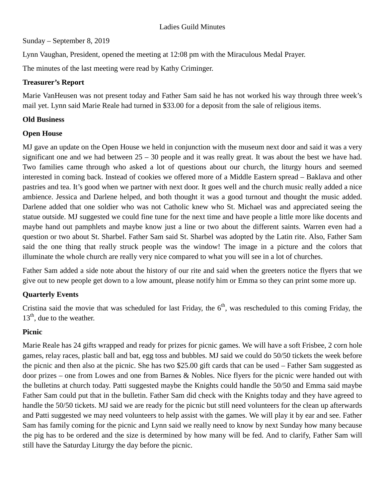Sunday – September 8, 2019

Lynn Vaughan, President, opened the meeting at 12:08 pm with the Miraculous Medal Prayer.

The minutes of the last meeting were read by Kathy Criminger.

#### **Treasurer's Report**

Marie VanHeusen was not present today and Father Sam said he has not worked his way through three week's mail yet. Lynn said Marie Reale had turned in \$33.00 for a deposit from the sale of religious items.

## **Old Business**

## **Open House**

MJ gave an update on the Open House we held in conjunction with the museum next door and said it was a very significant one and we had between 25 – 30 people and it was really great. It was about the best we have had. Two families came through who asked a lot of questions about our church, the liturgy hours and seemed interested in coming back. Instead of cookies we offered more of a Middle Eastern spread – Baklava and other pastries and tea. It's good when we partner with next door. It goes well and the church music really added a nice ambience. Jessica and Darlene helped, and both thought it was a good turnout and thought the music added. Darlene added that one soldier who was not Catholic knew who St. Michael was and appreciated seeing the statue outside. MJ suggested we could fine tune for the next time and have people a little more like docents and maybe hand out pamphlets and maybe know just a line or two about the different saints. Warren even had a question or two about St. Sharbel. Father Sam said St. Sharbel was adopted by the Latin rite. Also, Father Sam said the one thing that really struck people was the window! The image in a picture and the colors that illuminate the whole church are really very nice compared to what you will see in a lot of churches.

Father Sam added a side note about the history of our rite and said when the greeters notice the flyers that we give out to new people get down to a low amount, please notify him or Emma so they can print some more up.

## **Quarterly Events**

Cristina said the movie that was scheduled for last Friday, the  $6<sup>th</sup>$ , was rescheduled to this coming Friday, the  $13<sup>th</sup>$ , due to the weather.

## **Picnic**

Marie Reale has 24 gifts wrapped and ready for prizes for picnic games. We will have a soft Frisbee, 2 corn hole games, relay races, plastic ball and bat, egg toss and bubbles. MJ said we could do 50/50 tickets the week before the picnic and then also at the picnic. She has two \$25.00 gift cards that can be used – Father Sam suggested as door prizes – one from Lowes and one from Barnes & Nobles. Nice flyers for the picnic were handed out with the bulletins at church today. Patti suggested maybe the Knights could handle the 50/50 and Emma said maybe Father Sam could put that in the bulletin. Father Sam did check with the Knights today and they have agreed to handle the 50/50 tickets. MJ said we are ready for the picnic but still need volunteers for the clean up afterwards and Patti suggested we may need volunteers to help assist with the games. We will play it by ear and see. Father Sam has family coming for the picnic and Lynn said we really need to know by next Sunday how many because the pig has to be ordered and the size is determined by how many will be fed. And to clarify, Father Sam will still have the Saturday Liturgy the day before the picnic.